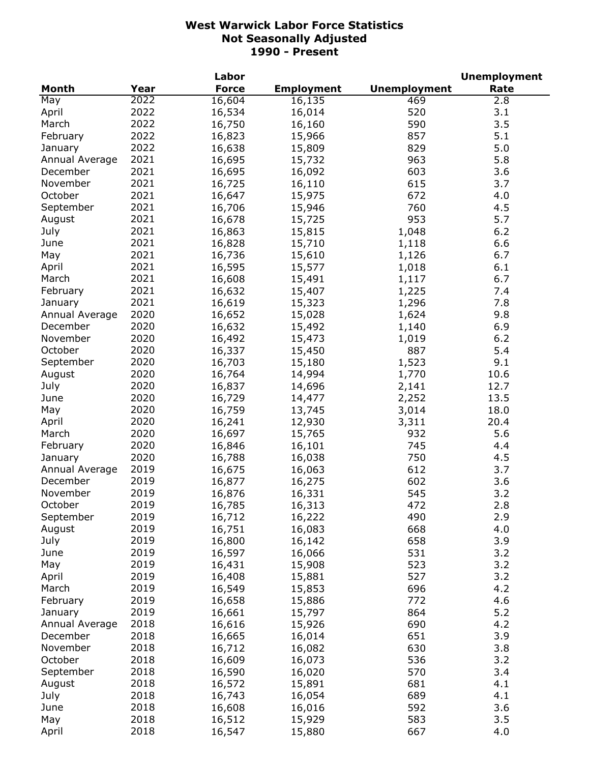|                |      | Labor            |                   |                     | <b>Unemployment</b> |
|----------------|------|------------------|-------------------|---------------------|---------------------|
| <b>Month</b>   | Year | <b>Force</b>     | <b>Employment</b> | <b>Unemployment</b> | Rate                |
| May            | 2022 | 16,604           | 16,135            | 469                 | 2.8                 |
| April          | 2022 | 16,534           | 16,014            | 520                 | 3.1                 |
| March          | 2022 | 16,750           | 16,160            | 590                 | 3.5                 |
| February       | 2022 | 16,823           | 15,966            | 857                 | 5.1                 |
| January        | 2022 | 16,638           | 15,809            | 829                 | 5.0                 |
| Annual Average | 2021 | 16,695           | 15,732            | 963                 | 5.8                 |
| December       | 2021 | 16,695           | 16,092            | 603                 | 3.6                 |
| November       | 2021 | 16,725           | 16,110            | 615                 | 3.7                 |
| October        | 2021 | 16,647           | 15,975            | 672                 | 4.0                 |
| September      | 2021 | 16,706           | 15,946            | 760                 | 4.5                 |
| August         | 2021 | 16,678           | 15,725            | 953                 | 5.7                 |
| July           | 2021 | 16,863           | 15,815            | 1,048               | 6.2                 |
| June           | 2021 |                  |                   |                     | 6.6                 |
|                | 2021 | 16,828           | 15,710            | 1,118               | 6.7                 |
| May            |      | 16,736           | 15,610            | 1,126               |                     |
| April          | 2021 | 16,595           | 15,577            | 1,018               | 6.1                 |
| March          | 2021 | 16,608           | 15,491            | 1,117               | 6.7                 |
| February       | 2021 | 16,632           | 15,407            | 1,225               | 7.4                 |
| January        | 2021 | 16,619           | 15,323            | 1,296               | 7.8                 |
| Annual Average | 2020 | 16,652           | 15,028            | 1,624               | 9.8                 |
| December       | 2020 | 16,632           | 15,492            | 1,140               | 6.9                 |
| November       | 2020 | 16,492           | 15,473            | 1,019               | 6.2                 |
| October        | 2020 | 16,337           | 15,450            | 887                 | 5.4                 |
| September      | 2020 | 16,703           | 15,180            | 1,523               | 9.1                 |
| August         | 2020 | 16,764           | 14,994            | 1,770               | 10.6                |
| July           | 2020 | 16,837           | 14,696            | 2,141               | 12.7                |
| June           | 2020 | 16,729           | 14,477            | 2,252               | 13.5                |
| May            | 2020 | 16,759           | 13,745            | 3,014               | 18.0                |
| April          | 2020 | 16,241           | 12,930            | 3,311               | 20.4                |
| March          | 2020 | 16,697           | 15,765            | 932                 | 5.6                 |
| February       | 2020 | 16,846           | 16,101            | 745                 | 4.4                 |
| January        | 2020 | 16,788           | 16,038            | 750                 | 4.5                 |
| Annual Average | 2019 | 16,675           | 16,063            | 612                 | 3.7                 |
| December       | 2019 | 16,877           | 16,275            | 602                 | 3.6                 |
| November       | 2019 | 16,876           | 16,331            | 545                 | 3.2                 |
| October        | 2019 | 16,785           | 16,313            | 472                 | 2.8                 |
| September      | 2019 | 16,712           | 16,222            | 490                 | 2.9                 |
| August         | 2019 | 16,751           | 16,083            | 668                 | 4.0                 |
| July           | 2019 | 16,800           | 16,142            | 658                 | 3.9                 |
| June           | 2019 | 16,597           | 16,066            | 531                 | 3.2                 |
| May            | 2019 | 16,431           | 15,908            | 523                 | 3.2                 |
| April          | 2019 | 16,408           | 15,881            | 527                 | 3.2                 |
| March          | 2019 | 16,549           | 15,853            | 696                 | 4.2                 |
| February       | 2019 | 16,658           | 15,886            | 772                 | 4.6                 |
| January        | 2019 | 16,661           | 15,797            | 864                 | 5.2                 |
| Annual Average | 2018 | 16,616           |                   | 690                 | 4.2                 |
| December       | 2018 |                  | 15,926            | 651                 | 3.9                 |
| November       | 2018 | 16,665<br>16,712 | 16,014            |                     |                     |
|                |      |                  | 16,082            | 630                 | 3.8                 |
| October        | 2018 | 16,609           | 16,073            | 536                 | 3.2                 |
| September      | 2018 | 16,590           | 16,020            | 570                 | 3.4                 |
| August         | 2018 | 16,572           | 15,891            | 681                 | 4.1                 |
| July           | 2018 | 16,743           | 16,054            | 689                 | 4.1                 |
| June           | 2018 | 16,608           | 16,016            | 592                 | 3.6                 |
| May            | 2018 | 16,512           | 15,929            | 583                 | 3.5                 |
| April          | 2018 | 16,547           | 15,880            | 667                 | 4.0                 |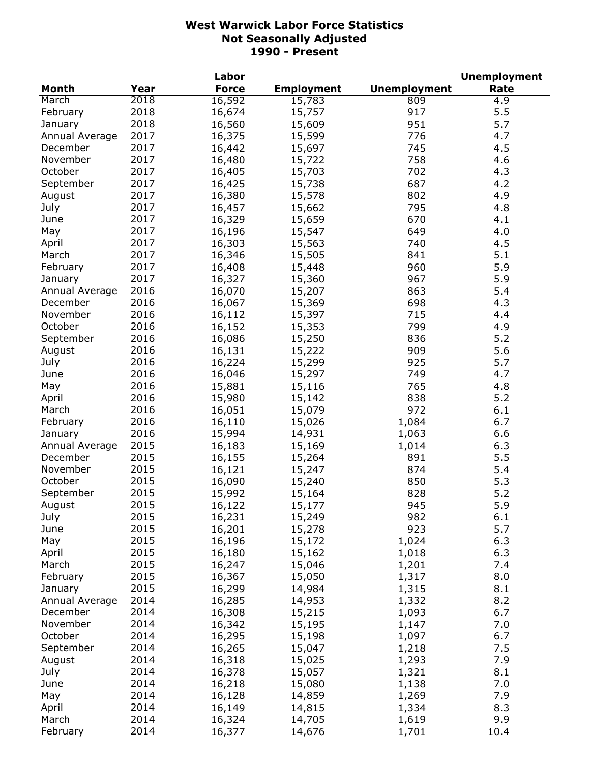|                |      | Labor        |                   |                     | <b>Unemployment</b> |
|----------------|------|--------------|-------------------|---------------------|---------------------|
| <b>Month</b>   | Year | <b>Force</b> | <b>Employment</b> | <b>Unemployment</b> | Rate                |
| March          | 2018 | 16,592       | 15,783            | 809                 | 4.9                 |
| February       | 2018 | 16,674       | 15,757            | 917                 | 5.5                 |
| January        | 2018 | 16,560       | 15,609            | 951                 | 5.7                 |
| Annual Average | 2017 | 16,375       | 15,599            | 776                 | 4.7                 |
| December       | 2017 | 16,442       | 15,697            | 745                 | 4.5                 |
| November       | 2017 | 16,480       | 15,722            | 758                 | 4.6                 |
| October        | 2017 | 16,405       | 15,703            | 702                 | 4.3                 |
| September      | 2017 | 16,425       | 15,738            | 687                 | 4.2                 |
| August         | 2017 | 16,380       | 15,578            | 802                 | 4.9                 |
| July           | 2017 | 16,457       | 15,662            | 795                 | 4.8                 |
| June           | 2017 | 16,329       | 15,659            | 670                 | 4.1                 |
| May            | 2017 | 16,196       | 15,547            | 649                 | 4.0                 |
|                | 2017 |              |                   | 740                 |                     |
| April          |      | 16,303       | 15,563            |                     | 4.5                 |
| March          | 2017 | 16,346       | 15,505            | 841                 | 5.1                 |
| February       | 2017 | 16,408       | 15,448            | 960                 | 5.9                 |
| January        | 2017 | 16,327       | 15,360            | 967                 | 5.9                 |
| Annual Average | 2016 | 16,070       | 15,207            | 863                 | 5.4                 |
| December       | 2016 | 16,067       | 15,369            | 698                 | 4.3                 |
| November       | 2016 | 16,112       | 15,397            | 715                 | 4.4                 |
| October        | 2016 | 16,152       | 15,353            | 799                 | 4.9                 |
| September      | 2016 | 16,086       | 15,250            | 836                 | 5.2                 |
| August         | 2016 | 16,131       | 15,222            | 909                 | 5.6                 |
| July           | 2016 | 16,224       | 15,299            | 925                 | 5.7                 |
| June           | 2016 | 16,046       | 15,297            | 749                 | 4.7                 |
| May            | 2016 | 15,881       | 15,116            | 765                 | 4.8                 |
| April          | 2016 | 15,980       | 15,142            | 838                 | 5.2                 |
| March          | 2016 | 16,051       | 15,079            | 972                 | 6.1                 |
| February       | 2016 | 16,110       | 15,026            | 1,084               | 6.7                 |
| January        | 2016 | 15,994       | 14,931            | 1,063               | 6.6                 |
| Annual Average | 2015 | 16,183       | 15,169            | 1,014               | 6.3                 |
| December       | 2015 | 16,155       | 15,264            | 891                 | 5.5                 |
| November       | 2015 | 16,121       | 15,247            | 874                 | 5.4                 |
| October        | 2015 | 16,090       | 15,240            | 850                 | 5.3                 |
| September      | 2015 | 15,992       | 15,164            | 828                 | 5.2                 |
| August         | 2015 | 16,122       | 15,177            | 945                 | 5.9                 |
| July           | 2015 | 16,231       | 15,249            | 982                 | 6.1                 |
| June           | 2015 | 16,201       | 15,278            | 923                 | 5.7                 |
| May            | 2015 | 16,196       | 15,172            | 1,024               | 6.3                 |
| April          | 2015 | 16,180       | 15,162            | 1,018               | 6.3                 |
| March          | 2015 | 16,247       | 15,046            | 1,201               | 7.4                 |
| February       | 2015 |              |                   |                     | 8.0                 |
|                |      | 16,367       | 15,050            | 1,317               |                     |
| January        | 2015 | 16,299       | 14,984            | 1,315               | 8.1                 |
| Annual Average | 2014 | 16,285       | 14,953            | 1,332               | 8.2                 |
| December       | 2014 | 16,308       | 15,215            | 1,093               | 6.7                 |
| November       | 2014 | 16,342       | 15,195            | 1,147               | 7.0                 |
| October        | 2014 | 16,295       | 15,198            | 1,097               | 6.7                 |
| September      | 2014 | 16,265       | 15,047            | 1,218               | 7.5                 |
| August         | 2014 | 16,318       | 15,025            | 1,293               | 7.9                 |
| July           | 2014 | 16,378       | 15,057            | 1,321               | 8.1                 |
| June           | 2014 | 16,218       | 15,080            | 1,138               | 7.0                 |
| May            | 2014 | 16,128       | 14,859            | 1,269               | 7.9                 |
| April          | 2014 | 16,149       | 14,815            | 1,334               | 8.3                 |
| March          | 2014 | 16,324       | 14,705            | 1,619               | 9.9                 |
| February       | 2014 | 16,377       | 14,676            | 1,701               | 10.4                |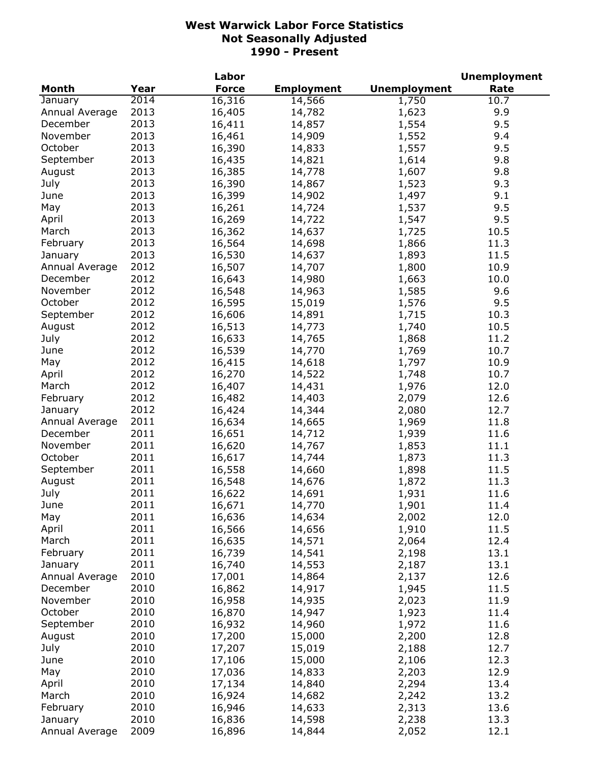|                |      | Labor        |                   |                     | <b>Unemployment</b> |
|----------------|------|--------------|-------------------|---------------------|---------------------|
| <b>Month</b>   | Year | <b>Force</b> | <b>Employment</b> | <b>Unemployment</b> | Rate                |
| January        | 2014 | 16,316       | 14,566            | 1,750               | 10.7                |
| Annual Average | 2013 | 16,405       | 14,782            | 1,623               | 9.9                 |
| December       | 2013 | 16,411       | 14,857            | 1,554               | 9.5                 |
| November       | 2013 | 16,461       | 14,909            | 1,552               | 9.4                 |
| October        | 2013 | 16,390       | 14,833            | 1,557               | 9.5                 |
| September      | 2013 | 16,435       | 14,821            | 1,614               | 9.8                 |
| August         | 2013 | 16,385       | 14,778            | 1,607               | 9.8                 |
| July           | 2013 | 16,390       | 14,867            | 1,523               | 9.3                 |
| June           | 2013 | 16,399       | 14,902            | 1,497               | 9.1                 |
| May            | 2013 | 16,261       | 14,724            | 1,537               | 9.5                 |
| April          | 2013 | 16,269       | 14,722            | 1,547               | 9.5                 |
| March          | 2013 | 16,362       | 14,637            | 1,725               | 10.5                |
| February       | 2013 | 16,564       | 14,698            | 1,866               | 11.3                |
| January        | 2013 | 16,530       | 14,637            | 1,893               | 11.5                |
| Annual Average | 2012 | 16,507       | 14,707            | 1,800               | 10.9                |
| December       | 2012 | 16,643       | 14,980            | 1,663               | 10.0                |
| November       | 2012 | 16,548       | 14,963            | 1,585               | 9.6                 |
| October        | 2012 |              |                   |                     | 9.5                 |
|                | 2012 | 16,595       | 15,019            | 1,576               |                     |
| September      |      | 16,606       | 14,891            | 1,715               | 10.3                |
| August         | 2012 | 16,513       | 14,773            | 1,740               | 10.5                |
| July           | 2012 | 16,633       | 14,765            | 1,868               | 11.2                |
| June           | 2012 | 16,539       | 14,770            | 1,769               | 10.7                |
| May            | 2012 | 16,415       | 14,618            | 1,797               | 10.9                |
| April          | 2012 | 16,270       | 14,522            | 1,748               | 10.7                |
| March          | 2012 | 16,407       | 14,431            | 1,976               | 12.0                |
| February       | 2012 | 16,482       | 14,403            | 2,079               | 12.6                |
| January        | 2012 | 16,424       | 14,344            | 2,080               | 12.7                |
| Annual Average | 2011 | 16,634       | 14,665            | 1,969               | 11.8                |
| December       | 2011 | 16,651       | 14,712            | 1,939               | 11.6                |
| November       | 2011 | 16,620       | 14,767            | 1,853               | 11.1                |
| October        | 2011 | 16,617       | 14,744            | 1,873               | 11.3                |
| September      | 2011 | 16,558       | 14,660            | 1,898               | 11.5                |
| August         | 2011 | 16,548       | 14,676            | 1,872               | 11.3                |
| July           | 2011 | 16,622       | 14,691            | 1,931               | 11.6                |
| June           | 2011 | 16,671       | 14,770            | 1,901               | 11.4                |
| May            | 2011 | 16,636       | 14,634            | 2,002               | 12.0                |
| April          | 2011 | 16,566       | 14,656            | 1,910               | 11.5                |
| March          | 2011 | 16,635       | 14,571            | 2,064               | 12.4                |
| February       | 2011 | 16,739       | 14,541            | 2,198               | 13.1                |
| January        | 2011 | 16,740       | 14,553            | 2,187               | 13.1                |
| Annual Average | 2010 | 17,001       | 14,864            | 2,137               | 12.6                |
| December       | 2010 | 16,862       | 14,917            | 1,945               | 11.5                |
| November       | 2010 | 16,958       | 14,935            | 2,023               | 11.9                |
| October        | 2010 | 16,870       | 14,947            | 1,923               | 11.4                |
| September      | 2010 | 16,932       | 14,960            | 1,972               | 11.6                |
| August         | 2010 | 17,200       | 15,000            | 2,200               | 12.8                |
| July           | 2010 | 17,207       | 15,019            | 2,188               | 12.7                |
| June           | 2010 | 17,106       | 15,000            | 2,106               | 12.3                |
| May            | 2010 | 17,036       | 14,833            | 2,203               | 12.9                |
| April          | 2010 | 17,134       | 14,840            | 2,294               | 13.4                |
| March          | 2010 | 16,924       | 14,682            | 2,242               | 13.2                |
| February       | 2010 | 16,946       | 14,633            | 2,313               | 13.6                |
| January        | 2010 | 16,836       | 14,598            | 2,238               | 13.3                |
| Annual Average | 2009 | 16,896       | 14,844            | 2,052               | 12.1                |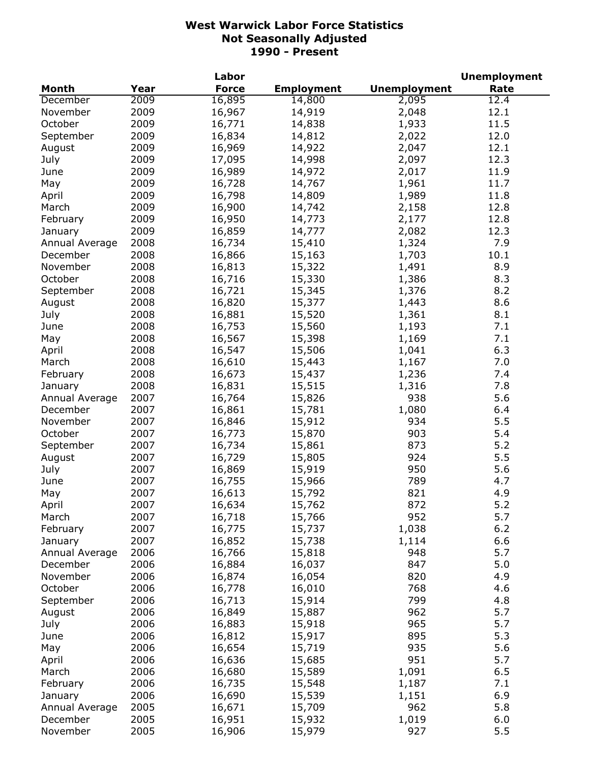|                |      | Labor        |                   |                     | <b>Unemployment</b> |
|----------------|------|--------------|-------------------|---------------------|---------------------|
| <b>Month</b>   | Year | <b>Force</b> | <b>Employment</b> | <b>Unemployment</b> | Rate                |
| December       | 2009 | 16,895       | 14,800            | 2,095               | 12.4                |
| November       | 2009 | 16,967       | 14,919            | 2,048               | 12.1                |
| October        | 2009 | 16,771       | 14,838            | 1,933               | 11.5                |
| September      | 2009 | 16,834       | 14,812            | 2,022               | 12.0                |
| August         | 2009 | 16,969       | 14,922            | 2,047               | 12.1                |
| July           | 2009 | 17,095       | 14,998            | 2,097               | 12.3                |
| June           | 2009 | 16,989       | 14,972            | 2,017               | 11.9                |
| May            | 2009 | 16,728       | 14,767            | 1,961               | 11.7                |
| April          | 2009 | 16,798       | 14,809            | 1,989               | 11.8                |
| March          | 2009 | 16,900       | 14,742            | 2,158               | 12.8                |
| February       | 2009 | 16,950       | 14,773            | 2,177               | 12.8                |
| January        | 2009 | 16,859       | 14,777            | 2,082               | 12.3                |
| Annual Average | 2008 | 16,734       | 15,410            | 1,324               | 7.9                 |
| December       | 2008 | 16,866       | 15,163            | 1,703               | 10.1                |
| November       | 2008 |              |                   |                     | 8.9                 |
|                |      | 16,813       | 15,322            | 1,491               | 8.3                 |
| October        | 2008 | 16,716       | 15,330            | 1,386               |                     |
| September      | 2008 | 16,721       | 15,345            | 1,376               | 8.2                 |
| August         | 2008 | 16,820       | 15,377            | 1,443               | 8.6                 |
| July           | 2008 | 16,881       | 15,520            | 1,361               | 8.1                 |
| June           | 2008 | 16,753       | 15,560            | 1,193               | 7.1                 |
| May            | 2008 | 16,567       | 15,398            | 1,169               | 7.1                 |
| April          | 2008 | 16,547       | 15,506            | 1,041               | 6.3                 |
| March          | 2008 | 16,610       | 15,443            | 1,167               | 7.0                 |
| February       | 2008 | 16,673       | 15,437            | 1,236               | 7.4                 |
| January        | 2008 | 16,831       | 15,515            | 1,316               | 7.8                 |
| Annual Average | 2007 | 16,764       | 15,826            | 938                 | 5.6                 |
| December       | 2007 | 16,861       | 15,781            | 1,080               | 6.4                 |
| November       | 2007 | 16,846       | 15,912            | 934                 | 5.5                 |
| October        | 2007 | 16,773       | 15,870            | 903                 | 5.4                 |
| September      | 2007 | 16,734       | 15,861            | 873                 | 5.2                 |
| August         | 2007 | 16,729       | 15,805            | 924                 | 5.5                 |
| July           | 2007 | 16,869       | 15,919            | 950                 | 5.6                 |
| June           | 2007 | 16,755       | 15,966            | 789                 | 4.7                 |
| May            | 2007 | 16,613       | 15,792            | 821                 | 4.9                 |
| April          | 2007 | 16,634       | 15,762            | 872                 | 5.2                 |
| March          | 2007 | 16,718       | 15,766            | 952                 | 5.7                 |
| February       | 2007 | 16,775       | 15,737            | 1,038               | $6.2$               |
| January        | 2007 | 16,852       | 15,738            | 1,114               | 6.6                 |
| Annual Average | 2006 | 16,766       | 15,818            | 948                 | 5.7                 |
| December       | 2006 | 16,884       | 16,037            | 847                 | 5.0                 |
| November       | 2006 | 16,874       | 16,054            | 820                 | 4.9                 |
| October        | 2006 | 16,778       | 16,010            | 768                 | 4.6                 |
| September      | 2006 | 16,713       | 15,914            | 799                 | 4.8                 |
| August         | 2006 | 16,849       | 15,887            | 962                 | 5.7                 |
| July           | 2006 | 16,883       | 15,918            | 965                 | 5.7                 |
| June           | 2006 | 16,812       | 15,917            | 895                 | 5.3                 |
| May            | 2006 | 16,654       | 15,719            | 935                 | 5.6                 |
| April          | 2006 | 16,636       | 15,685            | 951                 | 5.7                 |
| March          | 2006 | 16,680       | 15,589            | 1,091               | 6.5                 |
| February       | 2006 | 16,735       | 15,548            | 1,187               | 7.1                 |
| January        | 2006 | 16,690       | 15,539            | 1,151               | 6.9                 |
| Annual Average | 2005 | 16,671       | 15,709            | 962                 | 5.8                 |
| December       | 2005 | 16,951       | 15,932            | 1,019               | 6.0                 |
| November       | 2005 | 16,906       | 15,979            | 927                 | 5.5                 |
|                |      |              |                   |                     |                     |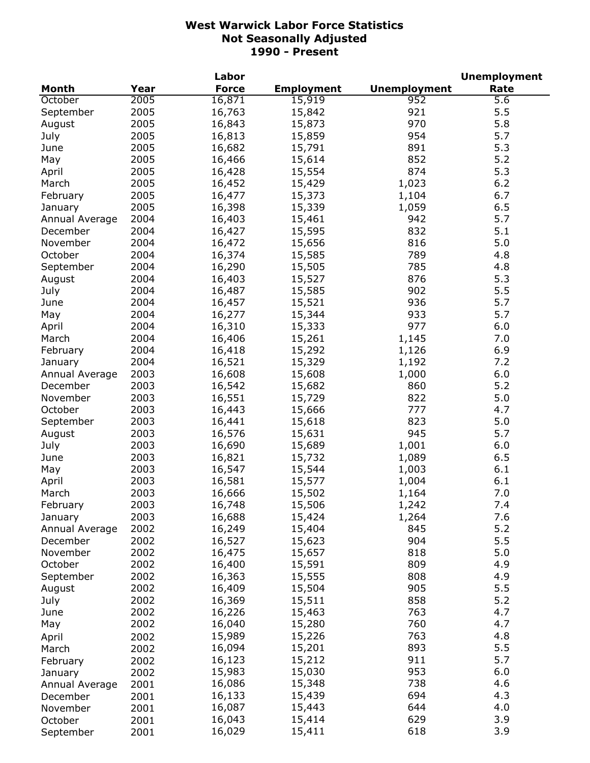|                |      | Labor        |                   |                     | <b>Unemployment</b> |
|----------------|------|--------------|-------------------|---------------------|---------------------|
| <b>Month</b>   | Year | <b>Force</b> | <b>Employment</b> | <b>Unemployment</b> | Rate                |
| October        | 2005 | 16,871       | 15,919            | 952                 | 5.6                 |
| September      | 2005 | 16,763       | 15,842            | 921                 | 5.5                 |
| August         | 2005 | 16,843       | 15,873            | 970                 | 5.8                 |
| July           | 2005 | 16,813       | 15,859            | 954                 | 5.7                 |
| June           | 2005 | 16,682       | 15,791            | 891                 | 5.3                 |
| May            | 2005 | 16,466       | 15,614            | 852                 | 5.2                 |
| April          | 2005 | 16,428       | 15,554            | 874                 | 5.3                 |
| March          | 2005 | 16,452       | 15,429            | 1,023               | 6.2                 |
| February       | 2005 | 16,477       | 15,373            | 1,104               | 6.7                 |
| January        | 2005 | 16,398       | 15,339            | 1,059               | 6.5                 |
| Annual Average | 2004 | 16,403       | 15,461            | 942                 | 5.7                 |
| December       | 2004 | 16,427       | 15,595            | 832                 | 5.1                 |
| November       | 2004 | 16,472       | 15,656            | 816                 | 5.0                 |
| October        | 2004 | 16,374       | 15,585            | 789                 | 4.8                 |
| September      | 2004 | 16,290       | 15,505            | 785                 | 4.8                 |
| August         | 2004 | 16,403       | 15,527            | 876                 | 5.3                 |
| July           | 2004 | 16,487       | 15,585            | 902                 | 5.5                 |
| June           | 2004 | 16,457       | 15,521            | 936                 | 5.7                 |
|                | 2004 |              |                   | 933                 | 5.7                 |
| May            |      | 16,277       | 15,344            | 977                 |                     |
| April          | 2004 | 16,310       | 15,333            |                     | 6.0                 |
| March          | 2004 | 16,406       | 15,261            | 1,145               | 7.0                 |
| February       | 2004 | 16,418       | 15,292            | 1,126               | 6.9                 |
| January        | 2004 | 16,521       | 15,329            | 1,192               | 7.2                 |
| Annual Average | 2003 | 16,608       | 15,608            | 1,000               | 6.0                 |
| December       | 2003 | 16,542       | 15,682            | 860                 | 5.2                 |
| November       | 2003 | 16,551       | 15,729            | 822                 | 5.0                 |
| October        | 2003 | 16,443       | 15,666            | 777                 | 4.7                 |
| September      | 2003 | 16,441       | 15,618            | 823                 | 5.0                 |
| August         | 2003 | 16,576       | 15,631            | 945                 | 5.7                 |
| July           | 2003 | 16,690       | 15,689            | 1,001               | 6.0                 |
| June           | 2003 | 16,821       | 15,732            | 1,089               | 6.5                 |
| May            | 2003 | 16,547       | 15,544            | 1,003               | 6.1                 |
| April          | 2003 | 16,581       | 15,577            | 1,004               | 6.1                 |
| March          | 2003 | 16,666       | 15,502            | 1,164               | 7.0                 |
| February       | 2003 | 16,748       | 15,506            | 1,242               | 7.4                 |
| January        | 2003 | 16,688       | 15,424            | 1,264               | 7.6                 |
| Annual Average | 2002 | 16,249       | 15,404            | 845                 | 5.2                 |
| December       | 2002 | 16,527       | 15,623            | 904                 | 5.5                 |
| November       | 2002 | 16,475       | 15,657            | 818                 | 5.0                 |
| October        | 2002 | 16,400       | 15,591            | 809                 | 4.9                 |
| September      | 2002 | 16,363       | 15,555            | 808                 | 4.9                 |
| August         | 2002 | 16,409       | 15,504            | 905                 | 5.5                 |
| July           | 2002 | 16,369       | 15,511            | 858                 | 5.2                 |
| June           | 2002 | 16,226       | 15,463            | 763                 | 4.7                 |
| May            | 2002 | 16,040       | 15,280            | 760                 | 4.7                 |
| April          | 2002 | 15,989       | 15,226            | 763                 | 4.8                 |
| March          | 2002 | 16,094       | 15,201            | 893                 | 5.5                 |
| February       | 2002 | 16,123       | 15,212            | 911                 | 5.7                 |
| January        | 2002 | 15,983       | 15,030            | 953                 | 6.0                 |
| Annual Average | 2001 | 16,086       | 15,348            | 738                 | 4.6                 |
| December       | 2001 | 16,133       | 15,439            | 694                 | 4.3                 |
| November       | 2001 | 16,087       | 15,443            | 644                 | 4.0                 |
| October        | 2001 | 16,043       | 15,414            | 629                 | 3.9                 |
| September      | 2001 | 16,029       | 15,411            | 618                 | 3.9                 |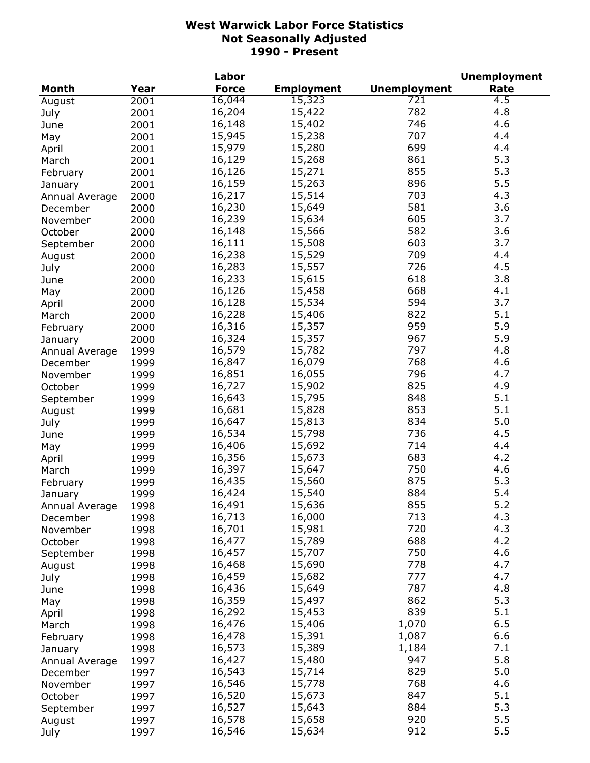|                     |      | Labor        |                   |                     | <b>Unemployment</b> |
|---------------------|------|--------------|-------------------|---------------------|---------------------|
| <b>Month</b>        | Year | <b>Force</b> | <b>Employment</b> | <b>Unemployment</b> | Rate                |
| August              | 2001 | 16,044       | 15,323            | 721                 | 4.5                 |
| July                | 2001 | 16,204       | 15,422            | 782                 | 4.8                 |
| June                | 2001 | 16,148       | 15,402            | 746                 | 4.6                 |
| May                 | 2001 | 15,945       | 15,238            | 707                 | 4.4                 |
| April               | 2001 | 15,979       | 15,280            | 699                 | 4.4                 |
| March               | 2001 | 16,129       | 15,268            | 861                 | 5.3                 |
| February            | 2001 | 16,126       | 15,271            | 855                 | 5.3                 |
| January             | 2001 | 16,159       | 15,263            | 896                 | 5.5                 |
| Annual Average      | 2000 | 16,217       | 15,514            | 703                 | 4.3                 |
|                     | 2000 | 16,230       | 15,649            | 581                 | 3.6                 |
| December            |      | 16,239       | 15,634            | 605                 | 3.7                 |
| November            | 2000 | 16,148       | 15,566            | 582                 | 3.6                 |
| October             | 2000 |              |                   |                     |                     |
| September           | 2000 | 16,111       | 15,508            | 603                 | 3.7                 |
| August              | 2000 | 16,238       | 15,529            | 709                 | 4.4                 |
| July                | 2000 | 16,283       | 15,557            | 726                 | 4.5                 |
| June                | 2000 | 16,233       | 15,615            | 618                 | 3.8                 |
| May                 | 2000 | 16,126       | 15,458            | 668                 | 4.1                 |
| April               | 2000 | 16,128       | 15,534            | 594                 | 3.7                 |
| March               | 2000 | 16,228       | 15,406            | 822                 | 5.1                 |
| February            | 2000 | 16,316       | 15,357            | 959                 | 5.9                 |
| January             | 2000 | 16,324       | 15,357            | 967                 | 5.9                 |
| Annual Average      | 1999 | 16,579       | 15,782            | 797                 | 4.8                 |
| December            | 1999 | 16,847       | 16,079            | 768                 | 4.6                 |
| November            | 1999 | 16,851       | 16,055            | 796                 | 4.7                 |
| October             | 1999 | 16,727       | 15,902            | 825                 | 4.9                 |
| September           | 1999 | 16,643       | 15,795            | 848                 | 5.1                 |
| August              | 1999 | 16,681       | 15,828            | 853                 | 5.1                 |
| July                | 1999 | 16,647       | 15,813            | 834                 | 5.0                 |
| June                | 1999 | 16,534       | 15,798            | 736                 | 4.5                 |
| May                 | 1999 | 16,406       | 15,692            | 714                 | 4.4                 |
| April               | 1999 | 16,356       | 15,673            | 683                 | 4.2                 |
| March               | 1999 | 16,397       | 15,647            | 750                 | 4.6                 |
| February            | 1999 | 16,435       | 15,560            | 875                 | 5.3                 |
| January             | 1999 | 16,424       | 15,540            | 884                 | 5.4                 |
| Annual Average      | 1998 | 16,491       | 15,636            | 855                 | 5.2                 |
|                     | 1998 | 16,713       | 16,000            | 713                 | 4.3                 |
| December            | 1998 | 16,701       | 15,981            | 720                 | 4.3                 |
| November<br>October |      | 16,477       | 15,789            | 688                 | 4.2                 |
|                     | 1998 | 16,457       | 15,707            | 750                 | 4.6                 |
| September           | 1998 | 16,468       |                   | 778                 | 4.7                 |
| August              | 1998 |              | 15,690            | 777                 | 4.7                 |
| July                | 1998 | 16,459       | 15,682            |                     |                     |
| June                | 1998 | 16,436       | 15,649            | 787                 | 4.8                 |
| May                 | 1998 | 16,359       | 15,497            | 862                 | 5.3                 |
| April               | 1998 | 16,292       | 15,453            | 839                 | 5.1                 |
| March               | 1998 | 16,476       | 15,406            | 1,070               | 6.5                 |
| February            | 1998 | 16,478       | 15,391            | 1,087               | 6.6                 |
| January             | 1998 | 16,573       | 15,389            | 1,184               | 7.1                 |
| Annual Average      | 1997 | 16,427       | 15,480            | 947                 | 5.8                 |
| December            | 1997 | 16,543       | 15,714            | 829                 | 5.0                 |
| November            | 1997 | 16,546       | 15,778            | 768                 | 4.6                 |
| October             | 1997 | 16,520       | 15,673            | 847                 | 5.1                 |
| September           | 1997 | 16,527       | 15,643            | 884                 | 5.3                 |
| August              | 1997 | 16,578       | 15,658            | 920                 | 5.5                 |
| July                | 1997 | 16,546       | 15,634            | 912                 | 5.5                 |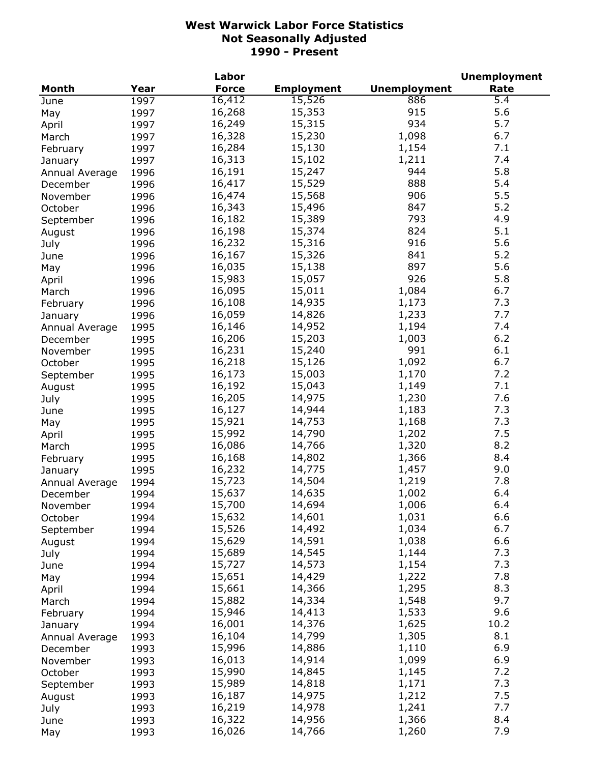|                     |      | Labor        |                   |                     | <b>Unemployment</b> |
|---------------------|------|--------------|-------------------|---------------------|---------------------|
| <b>Month</b>        | Year | <b>Force</b> | <b>Employment</b> | <b>Unemployment</b> | Rate                |
| June                | 1997 | 16,412       | 15,526            | 886                 | 5.4                 |
| May                 | 1997 | 16,268       | 15,353            | 915                 | 5.6                 |
| April               | 1997 | 16,249       | 15,315            | 934                 | 5.7                 |
| March               | 1997 | 16,328       | 15,230            | 1,098               | 6.7                 |
| February            | 1997 | 16,284       | 15,130            | 1,154               | 7.1                 |
| January             | 1997 | 16,313       | 15,102            | 1,211               | 7.4                 |
| Annual Average      | 1996 | 16,191       | 15,247            | 944                 | 5.8                 |
| December            | 1996 | 16,417       | 15,529            | 888                 | 5.4                 |
| November            | 1996 | 16,474       | 15,568            | 906                 | 5.5                 |
| October             | 1996 | 16,343       | 15,496            | 847                 | 5.2                 |
|                     |      | 16,182       | 15,389            | 793                 | 4.9                 |
| September           | 1996 | 16,198       | 15,374            | 824                 | 5.1                 |
| August              | 1996 |              |                   |                     |                     |
| July                | 1996 | 16,232       | 15,316            | 916                 | 5.6                 |
| June                | 1996 | 16,167       | 15,326            | 841                 | 5.2                 |
| May                 | 1996 | 16,035       | 15,138            | 897                 | 5.6                 |
| April               | 1996 | 15,983       | 15,057            | 926                 | 5.8                 |
| March               | 1996 | 16,095       | 15,011            | 1,084               | 6.7                 |
| February            | 1996 | 16,108       | 14,935            | 1,173               | 7.3                 |
| January             | 1996 | 16,059       | 14,826            | 1,233               | 7.7                 |
| Annual Average      | 1995 | 16,146       | 14,952            | 1,194               | 7.4                 |
| December            | 1995 | 16,206       | 15,203            | 1,003               | 6.2                 |
| November            | 1995 | 16,231       | 15,240            | 991                 | 6.1                 |
| October             | 1995 | 16,218       | 15,126            | 1,092               | 6.7                 |
| September           | 1995 | 16,173       | 15,003            | 1,170               | 7.2                 |
| August              | 1995 | 16,192       | 15,043            | 1,149               | 7.1                 |
| July                | 1995 | 16,205       | 14,975            | 1,230               | 7.6                 |
| June                | 1995 | 16,127       | 14,944            | 1,183               | 7.3                 |
| May                 | 1995 | 15,921       | 14,753            | 1,168               | 7.3                 |
| April               | 1995 | 15,992       | 14,790            | 1,202               | 7.5                 |
| March               | 1995 | 16,086       | 14,766            | 1,320               | 8.2                 |
| February            | 1995 | 16,168       | 14,802            | 1,366               | 8.4                 |
| January             | 1995 | 16,232       | 14,775            | 1,457               | 9.0                 |
| Annual Average      | 1994 | 15,723       | 14,504            | 1,219               | 7.8                 |
| December            | 1994 | 15,637       | 14,635            | 1,002               | 6.4                 |
| November            | 1994 | 15,700       | 14,694            | 1,006               | 6.4                 |
| October             | 1994 | 15,632       | 14,601            | 1,031               | 6.6                 |
|                     | 1994 | 15,526       | 14,492            | 1,034               | 6.7                 |
| September<br>August | 1994 | 15,629       | 14,591            | 1,038               | 6.6                 |
|                     |      | 15,689       | 14,545            | 1,144               | 7.3                 |
| July                | 1994 | 15,727       | 14,573            |                     | 7.3                 |
| June                | 1994 | 15,651       |                   | 1,154               | 7.8                 |
| May                 | 1994 |              | 14,429            | 1,222               |                     |
| April               | 1994 | 15,661       | 14,366            | 1,295               | 8.3                 |
| March               | 1994 | 15,882       | 14,334            | 1,548               | 9.7                 |
| February            | 1994 | 15,946       | 14,413            | 1,533               | 9.6                 |
| January             | 1994 | 16,001       | 14,376            | 1,625               | 10.2                |
| Annual Average      | 1993 | 16,104       | 14,799            | 1,305               | 8.1                 |
| December            | 1993 | 15,996       | 14,886            | 1,110               | 6.9                 |
| November            | 1993 | 16,013       | 14,914            | 1,099               | 6.9                 |
| October             | 1993 | 15,990       | 14,845            | 1,145               | 7.2                 |
| September           | 1993 | 15,989       | 14,818            | 1,171               | 7.3                 |
| August              | 1993 | 16,187       | 14,975            | 1,212               | 7.5                 |
| July                | 1993 | 16,219       | 14,978            | 1,241               | 7.7                 |
| June                | 1993 | 16,322       | 14,956            | 1,366               | 8.4                 |
| May                 | 1993 | 16,026       | 14,766            | 1,260               | 7.9                 |